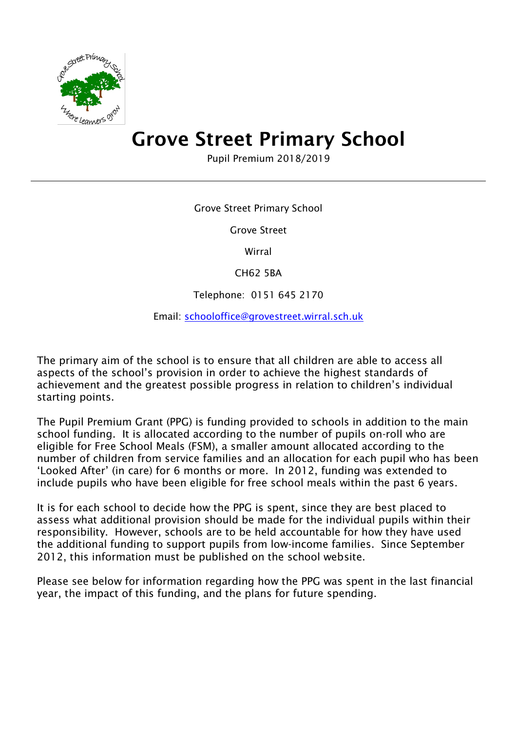

# Grove Street Primary School

Pupil Premium 2018/2019

Grove Street Primary School

Grove Street

Wirral

CH62 5BA

Telephone: 0151 645 2170

Email: [schooloffice@grovestreet.wirral.sch.uk](mailto:schooloffice@grovestreet.wirral.sch.uk)

The primary aim of the school is to ensure that all children are able to access all aspects of the school's provision in order to achieve the highest standards of achievement and the greatest possible progress in relation to children's individual starting points.

The Pupil Premium Grant (PPG) is funding provided to schools in addition to the main school funding. It is allocated according to the number of pupils on-roll who are eligible for Free School Meals (FSM), a smaller amount allocated according to the number of children from service families and an allocation for each pupil who has been 'Looked After' (in care) for 6 months or more. In 2012, funding was extended to include pupils who have been eligible for free school meals within the past 6 years.

It is for each school to decide how the PPG is spent, since they are best placed to assess what additional provision should be made for the individual pupils within their responsibility. However, schools are to be held accountable for how they have used the additional funding to support pupils from low-income families. Since September 2012, this information must be published on the school website.

Please see below for information regarding how the PPG was spent in the last financial year, the impact of this funding, and the plans for future spending.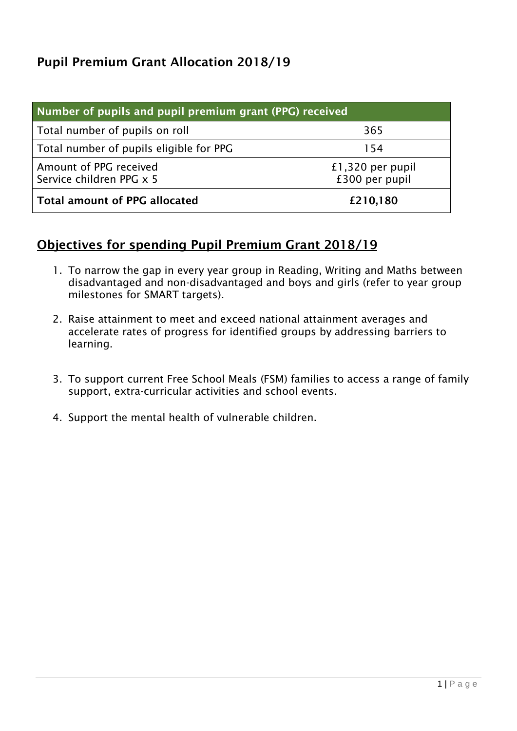## Pupil Premium Grant Allocation 2018/19

| Number of pupils and pupil premium grant (PPG) received |                                    |  |
|---------------------------------------------------------|------------------------------------|--|
| Total number of pupils on roll                          | 365                                |  |
| Total number of pupils eligible for PPG                 | 154                                |  |
| Amount of PPG received<br>Service children PPG x 5      | £1,320 per pupil<br>£300 per pupil |  |
| <b>Total amount of PPG allocated</b>                    | £210,180                           |  |

### Objectives for spending Pupil Premium Grant 2018/19

- 1. To narrow the gap in every year group in Reading, Writing and Maths between disadvantaged and non-disadvantaged and boys and girls (refer to year group milestones for SMART targets).
- 2. Raise attainment to meet and exceed national attainment averages and accelerate rates of progress for identified groups by addressing barriers to learning.
- 3. To support current Free School Meals (FSM) families to access a range of family support, extra-curricular activities and school events.
- 4. Support the mental health of vulnerable children.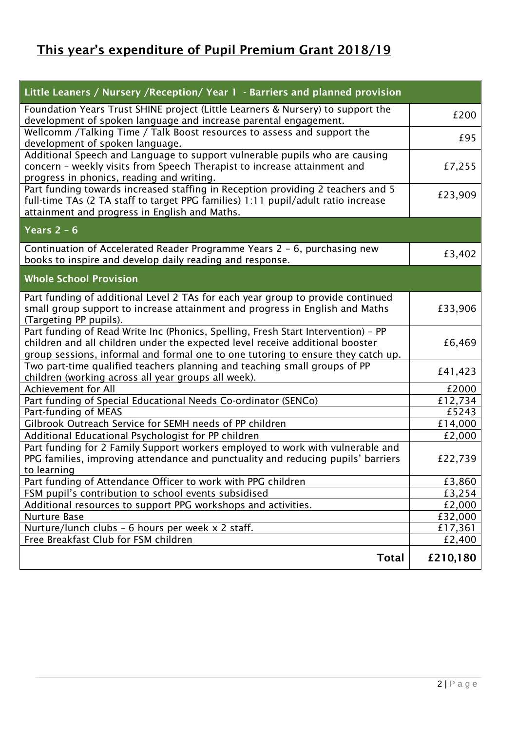# This year's expenditure of Pupil Premium Grant 2018/19

| Little Leaners / Nursery / Reception/ Year 1 - Barriers and planned provision                                                                                                                                                                          |          |
|--------------------------------------------------------------------------------------------------------------------------------------------------------------------------------------------------------------------------------------------------------|----------|
| Foundation Years Trust SHINE project (Little Learners & Nursery) to support the<br>development of spoken language and increase parental engagement.                                                                                                    | £200     |
| Wellcomm /Talking Time / Talk Boost resources to assess and support the<br>development of spoken language.                                                                                                                                             | £95      |
| Additional Speech and Language to support vulnerable pupils who are causing<br>concern - weekly visits from Speech Therapist to increase attainment and<br>progress in phonics, reading and writing.                                                   | £7,255   |
| Part funding towards increased staffing in Reception providing 2 teachers and 5<br>full-time TAs (2 TA staff to target PPG families) 1:11 pupil/adult ratio increase<br>attainment and progress in English and Maths.                                  | £23,909  |
| Years $2 - 6$                                                                                                                                                                                                                                          |          |
| Continuation of Accelerated Reader Programme Years 2 - 6, purchasing new<br>books to inspire and develop daily reading and response.                                                                                                                   | £3,402   |
| <b>Whole School Provision</b>                                                                                                                                                                                                                          |          |
| Part funding of additional Level 2 TAs for each year group to provide continued<br>small group support to increase attainment and progress in English and Maths<br>(Targeting PP pupils).                                                              | £33,906  |
| Part funding of Read Write Inc (Phonics, Spelling, Fresh Start Intervention) - PP<br>children and all children under the expected level receive additional booster<br>group sessions, informal and formal one to one tutoring to ensure they catch up. | £6,469   |
| Two part-time qualified teachers planning and teaching small groups of PP<br>children (working across all year groups all week).                                                                                                                       | £41,423  |
| Achievement for All                                                                                                                                                                                                                                    | £2000    |
| Part funding of Special Educational Needs Co-ordinator (SENCo)                                                                                                                                                                                         | £12,734  |
| Part-funding of MEAS                                                                                                                                                                                                                                   | £5243    |
| Gilbrook Outreach Service for SEMH needs of PP children                                                                                                                                                                                                | £14,000  |
| Additional Educational Psychologist for PP children                                                                                                                                                                                                    | £2,000   |
| Part funding for 2 Family Support workers employed to work with vulnerable and<br>PPG families, improving attendance and punctuality and reducing pupils' barriers<br>to learning                                                                      | £22,739  |
| Part funding of Attendance Officer to work with PPG children                                                                                                                                                                                           | £3,860   |
| FSM pupil's contribution to school events subsidised                                                                                                                                                                                                   | £3,254   |
| Additional resources to support PPG workshops and activities.                                                                                                                                                                                          | £2,000   |
| Nurture Base                                                                                                                                                                                                                                           | £32,000  |
| Nurture/lunch clubs - 6 hours per week x 2 staff.                                                                                                                                                                                                      | £17,361  |
| Free Breakfast Club for FSM children                                                                                                                                                                                                                   | £2,400   |
| <b>Total</b>                                                                                                                                                                                                                                           | £210,180 |